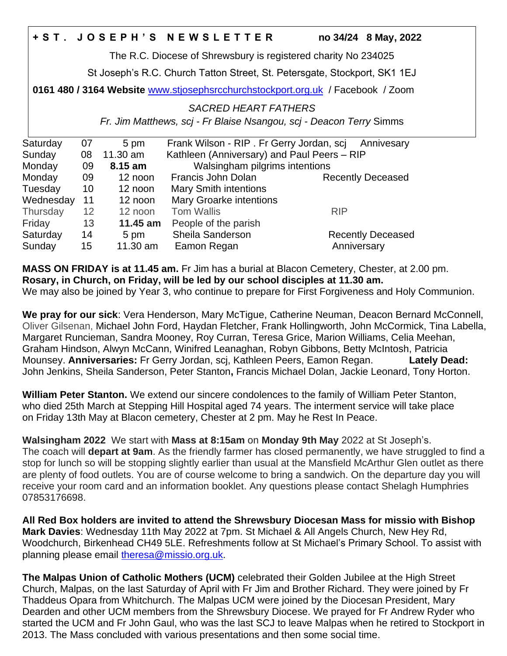# **+ S T . J O S E P H ' S N E W S L E T T E R no 34/24 8 May, 2022**

The R.C. Diocese of Shrewsbury is registered charity No 234025

St Joseph's R.C. Church Tatton Street, St. Petersgate, Stockport, SK1 1EJ

**0161 480 / 3164 Website** [www.stjosephsrcchurchstockport.org.uk](http://www.stjosephsrcchurchstockport.org.uk/) / Facebook / Zoom

# *SACRED HEART FATHERS*

*Fr. Jim Matthews, scj - Fr Blaise Nsangou, scj - Deacon Terry* Simms

| Saturday  | 07 | 5 pm     | Frank Wilson - RIP. Fr Gerry Jordan, scj    | Annivesary               |
|-----------|----|----------|---------------------------------------------|--------------------------|
| Sunday    | 08 | 11.30 am | Kathleen (Anniversary) and Paul Peers - RIP |                          |
| Monday    | 09 | 8.15 am  | Walsingham pilgrims intentions              |                          |
| Monday    | 09 | 12 noon  | Francis John Dolan                          | <b>Recently Deceased</b> |
| Tuesday   | 10 | 12 noon  | <b>Mary Smith intentions</b>                |                          |
| Wednesday | 11 | 12 noon  | Mary Groarke intentions                     |                          |
| Thursday  | 12 | 12 noon  | <b>Tom Wallis</b>                           | <b>RIP</b>               |
| Friday    | 13 | 11.45 am | People of the parish                        |                          |
| Saturday  | 14 | 5 pm     | Sheila Sanderson                            | <b>Recently Deceased</b> |
| Sunday    | 15 | 11.30 am | Eamon Regan                                 | Anniversary              |

**MASS ON FRIDAY is at 11.45 am.** Fr Jim has a burial at Blacon Cemetery, Chester, at 2.00 pm. **Rosary, in Church, on Friday, will be led by our school disciples at 11.30 am.**  We may also be joined by Year 3, who continue to prepare for First Forgiveness and Holy Communion.

**We pray for our sick**: Vera Henderson, Mary McTigue, Catherine Neuman, Deacon Bernard McConnell, Oliver Gilsenan, Michael John Ford, Haydan Fletcher, Frank Hollingworth, John McCormick, Tina Labella, Margaret Runcieman, Sandra Mooney, Roy Curran, Teresa Grice, Marion Williams, Celia Meehan, Graham Hindson, Alwyn McCann, Winifred Leanaghan, Robyn Gibbons, Betty McIntosh, Patricia Mounsey. **Anniversaries:** Fr Gerry Jordan, scj, Kathleen Peers, Eamon Regan. **Lately Dead:** John Jenkins, Sheila Sanderson, Peter Stanton**,** Francis Michael Dolan, Jackie Leonard, Tony Horton.

**William Peter Stanton.** We extend our sincere condolences to the family of William Peter Stanton, who died 25th March at Stepping Hill Hospital aged 74 years. The interment service will take place on Friday 13th May at Blacon cemetery, Chester at 2 pm. May he Rest In Peace.

**Walsingham 2022** We start with **Mass at 8:15am** on **Monday 9th May** 2022 at St Joseph's. The coach will **depart at 9am**. As the friendly farmer has closed permanently, we have struggled to find a stop for lunch so will be stopping slightly earlier than usual at the Mansfield McArthur Glen outlet as there are plenty of food outlets. You are of course welcome to bring a sandwich. On the departure day you will receive your room card and an information booklet. Any questions please contact Shelagh Humphries 07853176698.

**All Red Box holders are invited to attend the Shrewsbury Diocesan Mass for missio with Bishop Mark Davies**: Wednesday 11th May 2022 at 7pm. St Michael & All Angels Church, New Hey Rd, Woodchurch, Birkenhead CH49 5LE. Refreshments follow at St Michael's Primary School. To assist with planning please email [theresa@missio.org.uk.](mailto:theresa@missio.org.uk)

**The Malpas Union of Catholic Mothers (UCM)** celebrated their Golden Jubilee at the High Street Church, Malpas, on the last Saturday of April with Fr Jim and Brother Richard. They were joined by Fr Thaddeus Opara from Whitchurch. The Malpas UCM were joined by the Diocesan President, Mary Dearden and other UCM members from the Shrewsbury Diocese. We prayed for Fr Andrew Ryder who started the UCM and Fr John Gaul, who was the last SCJ to leave Malpas when he retired to Stockport in 2013. The Mass concluded with various presentations and then some social time.